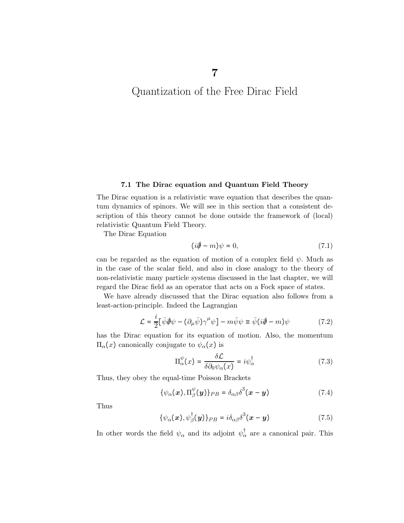Quantization of the Free Dirac Field

## 7.1 The Dirac equation and Quantum Field Theory

The Dirac equation is a relativistic wave equation that describes the quantum dynamics of spinors. We will see in this section that a consistent description of this theory cannot be done outside the framework of (local) relativistic Quantum Field Theory.

The Dirac Equation

$$
(i\partial \hspace{-.05in}\partial -m)\psi = 0,\tag{7.1}
$$

can be regarded as the equation of motion of a complex field  $\psi$ . Much as in the case of the scalar field, and also in close analogy to the theory of non-relativistic many particle systems discussed in the last chapter, we will regard the Dirac field as an operator that acts on a Fock space of states.

We have already discussed that the Dirac equation also follows from a least-action-principle. Indeed the Lagrangian

$$
\mathcal{L} = \frac{i}{2} [\bar{\psi} \partial \psi - (\partial_{\mu} \bar{\psi}) \gamma^{\mu} \psi] - m \bar{\psi} \psi \equiv \bar{\psi} (i \partial \!\!\!/ - m) \psi \tag{7.2}
$$

has the Dirac equation for its equation of motion. Also, the momentum  $\Pi_\alpha(x)$  canonically conjugate to  $ψ_\alpha(x)$  is

$$
\Pi_{\alpha}^{\psi}(x) = \frac{\delta \mathcal{L}}{\delta \partial_0 \psi_{\alpha}(x)} = i \psi_{\alpha}^{\dagger} \tag{7.3}
$$

Thus, they obey the equal-time Poisson Brackets

$$
\{\psi_{\alpha}(\boldsymbol{x}), \Pi_{\beta}^{\psi}(\boldsymbol{y})\}_{PB} = \delta_{\alpha\beta}\delta^{3}(\boldsymbol{x}-\boldsymbol{y})
$$
\n(7.4)

Thus

$$
\{\psi_{\alpha}(\boldsymbol{x}), \psi_{\beta}^{\dagger}(\boldsymbol{y})\}_{PB} = i\delta_{\alpha\beta}\delta^{3}(\boldsymbol{x}-\boldsymbol{y})
$$
\n(7.5)

In other words the field  $\psi_{\alpha}$  and its adjoint  $\psi_{\alpha}^{\dagger}$  are a canonical pair. This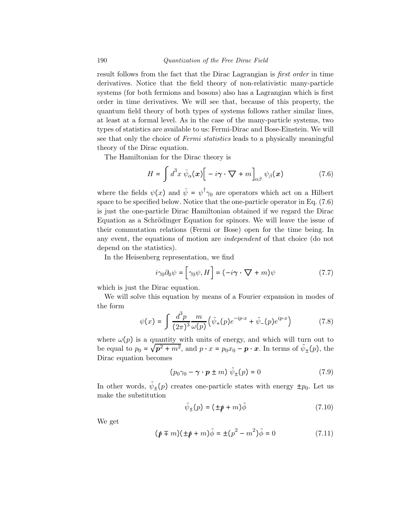result follows from the fact that the Dirac Lagrangian is first order in time derivatives. Notice that the field theory of non-relativistic many-particle systems (for both fermions and bosons) also has a Lagrangian which is first order in time derivatives. We will see that, because of this property, the quantum field theory of both types of systems follows rather similar lines, at least at a formal level. As in the case of the many-particle systems, two types of statistics are available to us: Fermi-Dirac and Bose-Einstein. We will see that only the choice of *Fermi statistics* leads to a physically meaningful theory of the Dirac equation.

The Hamiltonian for the Dirac theory is

$$
H = \int d^3x \,\bar{\psi}_{\alpha}(\boldsymbol{x}) \Big[ -i\boldsymbol{\gamma} \cdot \boldsymbol{\nabla} + m \Big]_{\alpha\beta} \psi_{\beta}(\boldsymbol{x}) \tag{7.6}
$$

where the fields  $\psi(x)$  and  $\bar{\psi} = \psi^{\dagger} \gamma_0$  are operators which act on a Hilbert space to be specified below. Notice that the one-particle operator in Eq. (7.6) is just the one-particle Dirac Hamiltonian obtained if we regard the Dirac Equation as a Schrödinger Equation for spinors. We will leave the issue of their commutation relations (Fermi or Bose) open for the time being. In any event, the equations of motion are independent of that choice (do not depend on the statistics).

In the Heisenberg representation, we find

$$
i\gamma_0 \partial_0 \psi = \left[ \gamma_0 \psi, H \right] = (-i\gamma \cdot \nabla + m)\psi \tag{7.7}
$$

which is just the Dirac equation.

We will solve this equation by means of a Fourier expansion in modes of the form

$$
\psi(x) = \int \frac{d^3 p}{(2\pi)^3} \frac{m}{\omega(p)} \left( \tilde{\psi}_+(p) e^{-ip \cdot x} + \tilde{\psi}_-(p) e^{ip \cdot x} \right) \tag{7.8}
$$

where  $\omega(p)$  is a quantity with units of energy, and which will turn out to be equal to  $p_0 = \sqrt{p^2 + m^2}$ , and  $p \cdot x = p_0 x_0 - p \cdot x$ . In terms of  $\tilde{\psi}_{\pm}(p)$ , the Dirac equation becomes

$$
(p_0\gamma_0 - \gamma \cdot \mathbf{p} \pm m) \tilde{\psi}_{\pm}(p) = 0 \tag{7.9}
$$

In other words,  $\tilde{\psi}_{\pm}(p)$  creates one-particle states with energy  $\pm p_0$ . Let us make the substitution

$$
\tilde{\psi}_{\pm}(p) = (\pm \rlap{/} \rlap{/} \rlap{/}{+} m) \tilde{\phi} \tag{7.10}
$$

We get

$$
(\psi \mp m)(\pm \psi + m)\tilde{\phi} = \pm (p^2 - m^2)\tilde{\phi} = 0
$$
 (7.11)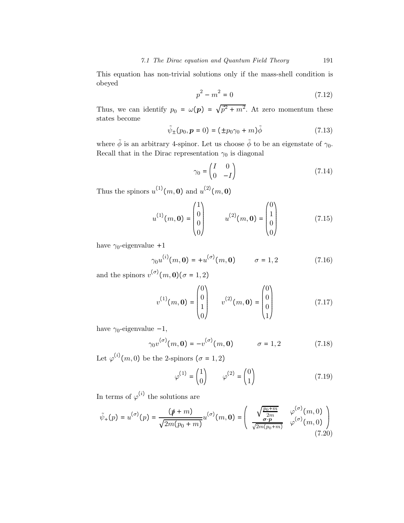This equation has non-trivial solutions only if the mass-shell condition is obeyed

$$
p^2 - m^2 = 0 \tag{7.12}
$$

Thus, we can identify  $p_0 = \omega(p) = \sqrt{p^2 + m^2}$ . At zero momentum these states become

$$
\tilde{\psi}_{\pm}(p_0, \mathbf{p} = 0) = (\pm p_0 \gamma_0 + m)\tilde{\phi} \tag{7.13}
$$

where  $\tilde{\phi}$  is an arbitrary 4-spinor. Let us choose  $\tilde{\phi}$  to be an eigenstate of  $\gamma_0$ . Recall that in the Dirac representation  $\gamma_0$  is diagonal

$$
\gamma_0 = \begin{pmatrix} I & 0 \\ 0 & -I \end{pmatrix} \tag{7.14}
$$

Thus the spinors  $u^{(1)}(m, 0)$  and  $u^{(2)}(m, 0)$ 

$$
u^{(1)}(m, \mathbf{0}) = \begin{pmatrix} 1 \\ 0 \\ 0 \\ 0 \end{pmatrix} \qquad u^{(2)}(m, \mathbf{0}) = \begin{pmatrix} 0 \\ 1 \\ 0 \\ 0 \end{pmatrix} \tag{7.15}
$$

have  $\gamma_0$ -eigenvalue +1

$$
\gamma_0 u^{(i)}(m, \mathbf{0}) = +u^{(\sigma)}(m, \mathbf{0}) \qquad \sigma = 1, 2 \tag{7.16}
$$

and the spinors  $v^{(\sigma)}(m, 0) (\sigma = 1, 2)$ 

$$
v^{(1)}(m, \mathbf{0}) = \begin{pmatrix} 0 \\ 0 \\ 1 \\ 0 \end{pmatrix} \qquad v^{(2)}(m, \mathbf{0}) = \begin{pmatrix} 0 \\ 0 \\ 0 \\ 1 \end{pmatrix} \tag{7.17}
$$

have  $\gamma_0$ -eigenvalue -1,

$$
\gamma_0 v^{(\sigma)}(m, \mathbf{0}) = -v^{(\sigma)}(m, \mathbf{0}) \qquad \sigma = 1, 2 \qquad (7.18)
$$

Let  $\varphi^{(i)}(m,0)$  be the 2-spinors  $(\sigma = 1,2)$ 

$$
\varphi^{(1)} = \begin{pmatrix} 1 \\ 0 \end{pmatrix} \qquad \varphi^{(2)} = \begin{pmatrix} 0 \\ 1 \end{pmatrix} \tag{7.19}
$$

In terms of  $\varphi^{(i)}$  the solutions are

$$
\tilde{\psi}_{+}(p) = u^{(\sigma)}(p) = \frac{(\rlap/v + m)}{\sqrt{2m(p_0 + m)}} u^{(\sigma)}(m, 0) = \begin{pmatrix} \sqrt{\frac{p_0 + m}{2m}} & \varphi^{(\sigma)}(m, 0) \\ \frac{\sigma \cdot p}{\sqrt{2m(p_0 + m)}} & \varphi^{(\sigma)}(m, 0) \end{pmatrix} \tag{7.20}
$$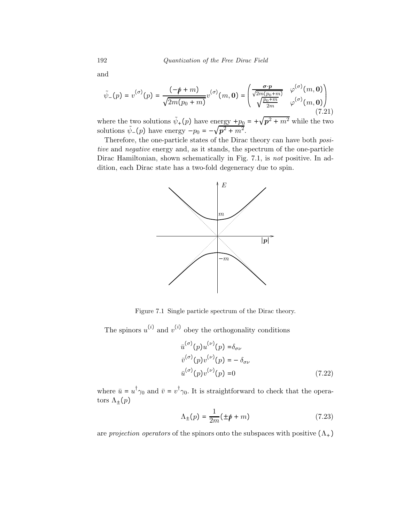and

$$
\tilde{\psi}_{-}(p) = v^{(\sigma)}(p) = \frac{(-\rlap/v + m)}{\sqrt{2m(p_0 + m)}} v^{(\sigma)}(m, 0) = \begin{pmatrix} \frac{\sigma \cdot p}{\sqrt{2m(p_0 + m)}} & \varphi^{(\sigma)}(m, 0) \\ \sqrt{\frac{p_0 + m}{2m}} & \varphi^{(\sigma)}(m, 0) \end{pmatrix}
$$
\n(7.21)

where the two solutions  $\tilde{\psi}_+(p)$  have energy  $+p_0 = +\sqrt{p^2 + m^2}$  while the two solutions  $\tilde{\psi}_{-}(p)$  have energy  $-p_0 = -\sqrt{p^2 + m^2}$ .

Therefore, the one-particle states of the Dirac theory can have both positive and negative energy and, as it stands, the spectrum of the one-particle Dirac Hamiltonian, shown schematically in Fig. 7.1, is not positive. In addition, each Dirac state has a two-fold degeneracy due to spin.



Figure 7.1 Single particle spectrum of the Dirac theory.

The spinors  $u^{(i)}$  and  $v^{(i)}$  obey the orthogonality conditions

$$
\bar{u}^{(\sigma)}(p)u^{(\nu)}(p) = \delta_{\sigma\nu}
$$
  
\n
$$
\bar{v}^{(\sigma)}(p)v^{(\nu)}(p) = -\delta_{\sigma\nu}
$$
  
\n
$$
\bar{u}^{(\sigma)}(p)v^{(\nu)}(p) = 0
$$
\n(7.22)

where  $\bar{u} = u^{\dagger} \gamma_0$  and  $\bar{v} = v^{\dagger} \gamma_0$ . It is straightforward to check that the operators  $\Lambda_{\pm}(p)$ 

$$
\Lambda_{\pm}(p) = \frac{1}{2m}(\pm \rlap{/}p + m) \tag{7.23}
$$

are projection operators of the spinors onto the subspaces with positive  $(\Lambda_+)$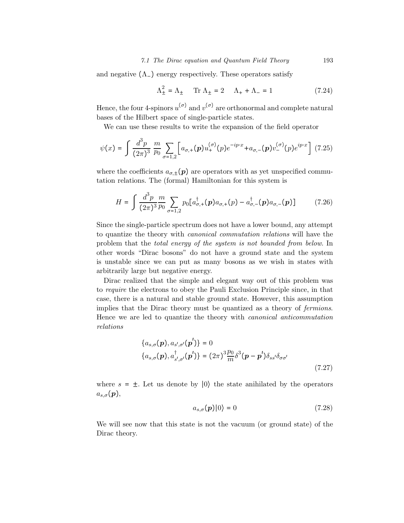#### 7.1 The Dirac equation and Quantum Field Theory 193

and negative  $(Λ<sub>-</sub>)$  energy respectively. These operators satisfy

$$
\Lambda_{\pm}^{2} = \Lambda_{\pm} \qquad \text{Tr } \Lambda_{\pm} = 2 \qquad \Lambda_{+} + \Lambda_{-} = 1 \tag{7.24}
$$

Hence, the four 4-spinors  $u^{(\sigma)}$  and  $v^{(\sigma)}$  are orthonormal and complete natural bases of the Hilbert space of single-particle states.

We can use these results to write the expansion of the field operator

$$
\psi(x) = \int \frac{d^3 p}{(2\pi)^3} \frac{m}{p_0} \sum_{\sigma=1,2} \left[ a_{\sigma,+}(\mathbf{p}) u_+^{(\sigma)}(p) e^{-ip \cdot x} + a_{\sigma,-}(\mathbf{p}) v_-^{(\sigma)}(p) e^{ip \cdot x} \right] (7.25)
$$

where the coefficients  $a_{\sigma,+}(p)$  are operators with as yet unspecified commutation relations. The (formal) Hamiltonian for this system is

$$
H = \int \frac{d^3 p}{(2\pi)^3} \frac{m}{p_0} \sum_{\sigma=1,2} p_0 \left[ a_{\sigma,+}^\dagger(\mathbf{p}) a_{\sigma,+}(\mathbf{p}) - a_{\sigma,-}^\dagger(\mathbf{p}) a_{\sigma,-}(\mathbf{p}) \right] \tag{7.26}
$$

Since the single-particle spectrum does not have a lower bound, any attempt to quantize the theory with canonical commutation relations will have the problem that the total energy of the system is not bounded from below. In other words "Dirac bosons" do not have a ground state and the system is unstable since we can put as many bosons as we wish in states with arbitrarily large but negative energy.

Dirac realized that the simple and elegant way out of this problem was to require the electrons to obey the Pauli Exclusion Principle since, in that case, there is a natural and stable ground state. However, this assumption implies that the Dirac theory must be quantized as a theory of fermions. Hence we are led to quantize the theory with canonical anticommutation relations

$$
\{a_{s,\sigma}(\boldsymbol{p}), a_{s',\sigma'}(\boldsymbol{p}')\} = 0
$$
  

$$
\{a_{s,\sigma}(\boldsymbol{p}), a_{s',\sigma'}^{\dagger}(\boldsymbol{p}')\} = (2\pi)^3 \frac{p_0}{m} \delta^3(\boldsymbol{p} - \boldsymbol{p}')\delta_{ss'}\delta_{\sigma\sigma'}
$$
 (7.27)

where  $s = \pm$ . Let us denote by  $\ket{0}$  the state anihilated by the operators  $a_{s,\sigma}(\boldsymbol{p}),$ 

$$
a_{s,\sigma}(\mathbf{p})|0\rangle = 0\tag{7.28}
$$

We will see now that this state is not the vacuum (or ground state) of the Dirac theory.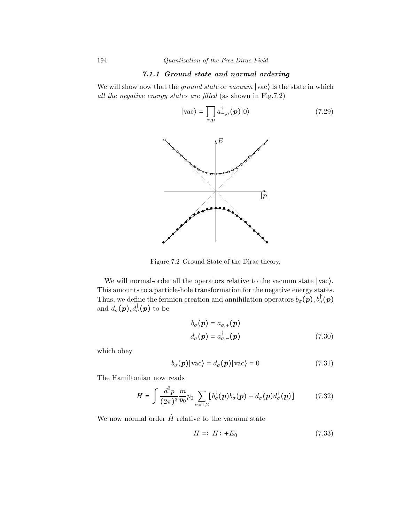# 7.1.1 Ground state and normal ordering

We will show now that the *ground state* or *vacuum*  $|vac\rangle$  is the state in which all the negative energy states are filled (as shown in Fig.7.2)

$$
|\text{vac}\rangle = \prod_{\sigma,\mathbf{p}} a_{-\sigma}^{\dagger}(\mathbf{p})|0\rangle \tag{7.29}
$$



Figure 7.2 Ground State of the Dirac theory.

We will normal-order all the operators relative to the vacuum state ∣vac⟩. This amounts to a particle-hole transformation for the negative energy states. Thus, we define the fermion creation and annihilation operators  $b_{\sigma}(\mathbf{p}), b_{\sigma}^{\dagger}(\mathbf{p})$ and  $d_{\sigma}(\boldsymbol{p}), d_{\sigma}^{\dagger}(\boldsymbol{p})$  to be

$$
b_{\sigma}(\mathbf{p}) = a_{\sigma,+}(\mathbf{p})
$$
  
\n
$$
d_{\sigma}(\mathbf{p}) = a_{\sigma,-}^{\dagger}(\mathbf{p})
$$
\n(7.30)

which obey

$$
b_{\sigma}(\mathbf{p})|\text{vac}\rangle = d_{\sigma}(\mathbf{p})|\text{vac}\rangle = 0 \qquad (7.31)
$$

The Hamiltonian now reads

$$
H = \int \frac{d^3 p}{(2\pi)^3} \frac{m}{p_0} p_0 \sum_{\sigma=1,2} \left[ b_{\sigma}^{\dagger}(\boldsymbol{p}) b_{\sigma}(\boldsymbol{p}) - d_{\sigma}(\boldsymbol{p}) d_{\sigma}^{\dagger}(\boldsymbol{p}) \right]
$$
(7.32)

We now normal order  $\hat{H}$  relative to the vacuum state

$$
H =: H: +E_0 \tag{7.33}
$$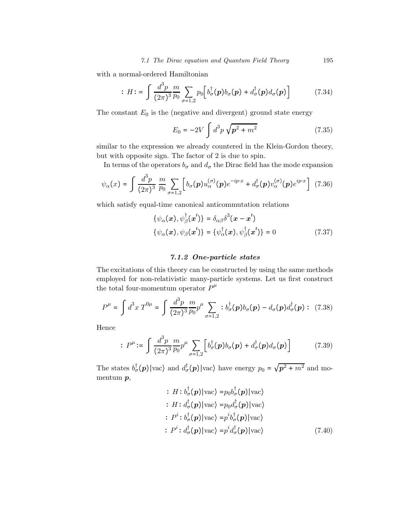with a normal-ordered Hamiltonian

$$
H = \int \frac{d^3 p}{(2\pi)^3} \frac{m}{p_0} \sum_{\sigma=1,2} p_0 \left[ b_\sigma^\dagger(\boldsymbol{p}) b_\sigma(\boldsymbol{p}) + d_\sigma^\dagger(\boldsymbol{p}) d_\sigma(\boldsymbol{p}) \right]
$$
(7.34)

The constant  $E_0$  is the (negative and divergent) ground state energy

$$
E_0 = -2V \int d^3p \sqrt{p^2 + m^2}
$$
 (7.35)

similar to the expression we already countered in the Klein-Gordon theory, but with opposite sign. The factor of 2 is due to spin.

In terms of the operators  $b_{\sigma}$  and  $d_{\sigma}$  the Dirac field has the mode expansion

$$
\psi_{\alpha}(x) = \int \frac{d^3 p}{(2\pi)^3} \frac{m}{p_0} \sum_{\sigma=1,2} \left[ b_{\sigma}(\mathbf{p}) u_{\alpha}^{(\sigma)}(\mathbf{p}) e^{-ip\cdot x} + d_{\sigma}^{\dagger}(\mathbf{p}) v_{\alpha}^{(\sigma)}(\mathbf{p}) e^{ip\cdot x} \right] (7.36)
$$

which satisfy equal-time canonical anticommutation relations

$$
\{\psi_{\alpha}(\boldsymbol{x}), \psi_{\beta}^{\dagger}(\boldsymbol{x}')\} = \delta_{\alpha\beta}\delta^{3}(\boldsymbol{x} - \boldsymbol{x}')
$$
  

$$
\{\psi_{\alpha}(\boldsymbol{x}), \psi_{\beta}(\boldsymbol{x}')\} = \{\psi_{\alpha}^{\dagger}(\boldsymbol{x}), \psi_{\beta}^{\dagger}(\boldsymbol{x}')\} = 0
$$
 (7.37)

## 7.1.2 One-particle states

The excitations of this theory can be constructed by using the same methods employed for non-relativistic many-particle systems. Let us first construct the total four-momentum operator  $P^{\mu}$ 

$$
P^{\mu} = \int d^{3}x \, T^{0\mu} = \int \frac{d^{3}p}{(2\pi)^{3}} \frac{m}{p_{0}} p^{\mu} \sum_{\sigma=1,2} :b^{\dagger}_{\sigma}(\mathbf{p})b_{\sigma}(\mathbf{p}) - d_{\sigma}(\mathbf{p})d^{\dagger}_{\sigma}(\mathbf{p}) : \tag{7.38}
$$

Hence

$$
P^{\mu} := \int \frac{d^3 p}{(2\pi)^3} \frac{m}{p_0} p^{\mu} \sum_{\sigma=1,2} \left[ b^{\dagger}_{\sigma}(\boldsymbol{p}) b_{\sigma}(\boldsymbol{p}) + d^{\dagger}_{\sigma}(\boldsymbol{p}) d_{\sigma}(\boldsymbol{p}) \right]
$$
(7.39)

The states  $b^{\dagger}_{\sigma}(p)|\text{vac}\rangle$  and  $d^{\dagger}_{\sigma}(p)|\text{vac}\rangle$  have energy  $p_0 = \sqrt{p^2 + m^2}$  and momentum p,

$$
\begin{aligned}\n& \therefore H : b_{\sigma}^{\dagger}(\boldsymbol{p})|\text{vac}\rangle = p_0 b_{\sigma}^{\dagger}(\boldsymbol{p})|\text{vac}\rangle \\
& \therefore H : d_{\sigma}^{\dagger}(\boldsymbol{p})|\text{vac}\rangle = p_0 d_{\sigma}^{\dagger}(\boldsymbol{p})|\text{vac}\rangle \\
& \therefore P^i : b_{\sigma}^{\dagger}(\boldsymbol{p})|\text{vac}\rangle = p^i b_{\sigma}^{\dagger}(\boldsymbol{p})|\text{vac}\rangle \\
& \therefore P^i : d_{\sigma}^{\dagger}(\boldsymbol{p})|\text{vac}\rangle = p^i d_{\sigma}^{\dagger}(\boldsymbol{p})|\text{vac}\rangle\n\end{aligned} \tag{7.40}
$$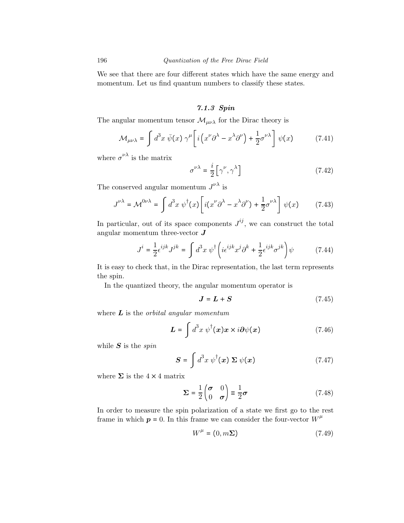We see that there are four different states which have the same energy and momentum. Let us find quantum numbers to classify these states.

# 7.1.3 Spin

The angular momentum tensor  $\mathcal{M}_{\mu\nu\lambda}$  for the Dirac theory is

$$
\mathcal{M}_{\mu\nu\lambda} = \int d^3x \,\bar{\psi}(x) \,\gamma^{\mu} \bigg[ i \bigg( x^{\nu} \partial^{\lambda} - x^{\lambda} \partial^{\nu} \bigg) + \frac{1}{2} \sigma^{\nu\lambda} \bigg] \,\psi(x) \tag{7.41}
$$

where  $\sigma^{\nu\lambda}$  is the matrix

$$
\sigma^{\nu\lambda} = \frac{i}{2} \left[ \gamma^{\nu}, \gamma^{\lambda} \right] \tag{7.42}
$$

The conserved angular momentum  $J^{\nu\lambda}$  is

$$
J^{\nu\lambda} = \mathcal{M}^{0\nu\lambda} = \int d^3x \; \psi^\dagger(x) \left[ i(x^\nu \partial^\lambda - x^\lambda \partial^\nu) + \frac{1}{2} \sigma^{\nu\lambda} \right] \psi(x) \tag{7.43}
$$

In particular, out of its space components  $J^{ij}$ , we can construct the total angular momentum three-vector  $J$ 

$$
J^{i} = \frac{1}{2} \epsilon^{ijk} J^{jk} = \int d^{3}x \, \psi^{\dagger} \left( i \epsilon^{ijk} x^{j} \partial^{k} + \frac{1}{2} \epsilon^{ijk} \sigma^{jk} \right) \psi \tag{7.44}
$$

It is easy to check that, in the Dirac representation, the last term represents the spin.

In the quantized theory, the angular momentum operator is

$$
J = L + S \tag{7.45}
$$

where  $\boldsymbol{L}$  is the *orbital angular momentum* 

$$
\mathbf{L} = \int d^3x \, \psi^\dagger(\mathbf{x}) \mathbf{x} \times i \partial \psi(\mathbf{x}) \tag{7.46}
$$

while  $S$  is the spin

$$
\mathbf{S} = \int d^3x \; \psi^\dagger(\mathbf{x}) \; \Sigma \; \psi(\mathbf{x}) \tag{7.47}
$$

where  $\Sigma$  is the  $4 \times 4$  matrix

$$
\Sigma = \frac{1}{2} \begin{pmatrix} \sigma & 0 \\ 0 & \sigma \end{pmatrix} \equiv \frac{1}{2} \sigma \tag{7.48}
$$

In order to measure the spin polarization of a state we first go to the rest frame in which  $p = 0$ . In this frame we can consider the four-vector  $W^{\mu}$ 

$$
W^{\mu} = (0, m\Sigma) \tag{7.49}
$$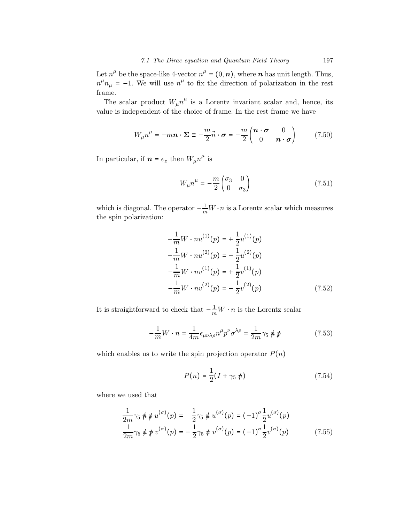Let  $n^{\mu}$  be the space-like 4-vector  $n^{\mu} = (0, n)$ , where n has unit length. Thus,  $n^{\mu}n_{\mu} = -1$ . We will use  $n^{\mu}$  to fix the direction of polarization in the rest frame.

The scalar product  $W_{\mu}n^{\mu}$  is a Lorentz invariant scalar and, hence, its value is independent of the choice of frame. In the rest frame we have

$$
W_{\mu}n^{\mu} = -m\mathbf{n} \cdot \mathbf{\Sigma} \equiv -\frac{m}{2}\vec{n} \cdot \boldsymbol{\sigma} = -\frac{m}{2}\begin{pmatrix} \boldsymbol{n} \cdot \boldsymbol{\sigma} & 0\\ 0 & \boldsymbol{n} \cdot \boldsymbol{\sigma} \end{pmatrix}
$$
(7.50)

In particular, if  $n = e_z$  then  $W_\mu n^\mu$  is

$$
W_{\mu}n^{\mu} = -\frac{m}{2} \begin{pmatrix} \sigma_3 & 0\\ 0 & \sigma_3 \end{pmatrix}
$$
 (7.51)

which is diagonal. The operator  $-\frac{1}{m}W \cdot n$  is a Lorentz scalar which measures the spin polarization:

$$
-\frac{1}{m}W \cdot nu^{(1)}(p) = +\frac{1}{2}u^{(1)}(p) -\frac{1}{m}W \cdot nu^{(2)}(p) = -\frac{1}{2}u^{(2)}(p) -\frac{1}{m}W \cdot nv^{(1)}(p) = +\frac{1}{2}v^{(1)}(p) -\frac{1}{m}W \cdot nv^{(2)}(p) = -\frac{1}{2}v^{(2)}(p)
$$
(7.52)

It is straightforward to check that  $-\frac{1}{m}W \cdot n$  is the Lorentz scalar

$$
-\frac{1}{m}W \cdot n = \frac{1}{4m} \epsilon_{\mu\nu\lambda\rho} n^{\mu} p^{\nu} \sigma^{\lambda\rho} = \frac{1}{2m} \gamma_5 \not\equiv \not\!p \tag{7.53}
$$

which enables us to write the spin projection operator  $P(n)$ 

$$
P(n) = \frac{1}{2}(I + \gamma_5 \neq 0)
$$
\n(7.54)

where we used that

$$
\frac{1}{2m}\gamma_5 \n\psi \psi u^{(\sigma)}(p) = \frac{1}{2}\gamma_5 \psi u^{(\sigma)}(p) = (-1)^{\sigma} \frac{1}{2} u^{(\sigma)}(p)
$$
\n
$$
\frac{1}{2m}\gamma_5 \psi \psi v^{(\sigma)}(p) = -\frac{1}{2}\gamma_5 \psi v^{(\sigma)}(p) = (-1)^{\sigma} \frac{1}{2} v^{(\sigma)}(p) \tag{7.55}
$$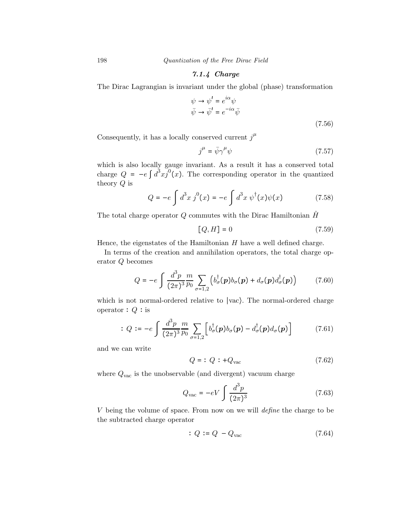198 Quantization of the Free Dirac Field

7.1.4 Charge

The Dirac Lagrangian is invariant under the global (phase) transformation

$$
\psi \to \psi' = e^{i\alpha}\psi
$$
  
\n
$$
\bar{\psi} \to \bar{\psi}' = e^{-i\alpha}\bar{\psi}
$$
  
\n(7.56)

Consequently, it has a locally conserved current  $j^{\mu}$ 

$$
j^{\mu} = \bar{\psi}\gamma^{\mu}\psi \tag{7.57}
$$

which is also locally gauge invariant. As a result it has a conserved total charge  $Q = -e \int d^3x j^0(x)$ . The corresponding operator in the quantized theory Q is

$$
Q = -e \int d^3x \, j^0(x) = -e \int d^3x \, \psi^\dagger(x) \psi(x) \tag{7.58}
$$

The total charge operator Q commutes with the Dirac Hamiltonian  $\hat{H}$ 

$$
[Q,H] = 0 \tag{7.59}
$$

Hence, the eigenstates of the Hamiltonian  $H$  have a well defined charge.

In terms of the creation and annihilation operators, the total charge operator Q becomes

$$
Q = -e \int \frac{d^3 p}{(2\pi)^3} \frac{m}{p_0} \sum_{\sigma=1,2} \left( b_\sigma^\dagger(\boldsymbol{p}) b_\sigma(\boldsymbol{p}) + d_\sigma(\boldsymbol{p}) d_\sigma^\dagger(\boldsymbol{p}) \right) \tag{7.60}
$$

which is not normal-ordered relative to ∣vac⟩. The normal-ordered charge operator  $: Q :$ is

$$
Q := -e \int \frac{d^3 p}{(2\pi)^3} \frac{m}{p_0} \sum_{\sigma=1,2} \left[ b_{\sigma}^{\dagger}(\boldsymbol{p}) b_{\sigma}(\boldsymbol{p}) - d_{\sigma}^{\dagger}(\boldsymbol{p}) d_{\sigma}(\boldsymbol{p}) \right]
$$
(7.61)

and we can write

$$
Q = \div Q \div +Q_{\text{vac}} \tag{7.62}
$$

where  $Q_{\text{vac}}$  is the unobservable (and divergent) vacuum charge

$$
Q_{\text{vac}} = -eV \int \frac{d^3 p}{(2\pi)^3} \tag{7.63}
$$

V being the volume of space. From now on we will define the charge to be the subtracted charge operator

$$
Q := Q - Q_{\text{vac}} \tag{7.64}
$$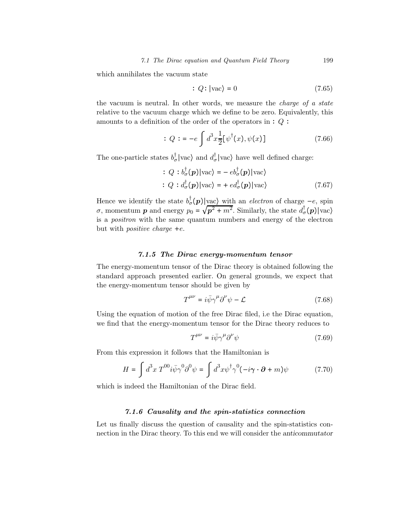which annihilates the vacuum state

$$
Q: |\text{vac}\rangle = 0 \tag{7.65}
$$

the vacuum is neutral. In other words, we measure the charge of a state relative to the vacuum charge which we define to be zero. Equivalently, this amounts to a definition of the order of the operators in  $: Q:$ 

$$
Q := -e \int d^3x \frac{1}{2} [\psi^{\dagger}(x), \psi(x)] \tag{7.66}
$$

The one-particle states  $b^{\dagger}_{\sigma}$  |vac $\rangle$  and  $d^{\dagger}_{\sigma}$  |vac $\rangle$  have well defined charge:

$$
Q : b_{\sigma}^{\dagger}(\mathbf{p})|\text{vac}\rangle = -e b_{\sigma}^{\dagger}(\mathbf{p})|\text{vac}\rangle
$$
  
\n
$$
Q : d_{\sigma}^{\dagger}(\mathbf{p})|\text{vac}\rangle = + e d_{\sigma}^{\dagger}(\mathbf{p})|\text{vac}\rangle
$$
 (7.67)

Hence we identify the state  $b_{\sigma}^{\dagger}(\boldsymbol{p})|_{\text{vac}}$  with an *electron* of charge  $-e$ , spin σ, momentum **p** and energy  $p_0 = \sqrt{p^2 + m^2}$ . Similarly, the state  $d^{\dagger}_{\sigma}(p)|\text{vac}\rangle$ is a positron with the same quantum numbers and energy of the electron but with *positive charge*  $+e$ .

## 7.1.5 The Dirac energy-momentum tensor

The energy-momentum tensor of the Dirac theory is obtained following the standard approach presented earlier. On general grounds, we expect that the energy-momentum tensor should be given by

$$
T^{\mu\nu} = i\bar{\psi}\gamma^{\mu}\partial^{\nu}\psi - \mathcal{L}
$$
 (7.68)

Using the equation of motion of the free Dirac filed, i.e the Dirac equation, we find that the energy-momentum tensor for the Dirac theory reduces to

$$
T^{\mu\nu} = i\bar{\psi}\gamma^{\mu}\partial^{\nu}\psi\tag{7.69}
$$

From this expression it follows that the Hamiltonian is

$$
H = \int d^3x \; T^{00} i \bar{\psi} \gamma^0 \partial^0 \psi = \int d^3x \psi^\dagger \gamma^0 (-i \gamma \cdot \partial + m) \psi \tag{7.70}
$$

which is indeed the Hamiltonian of the Dirac field.

# 7.1.6 Causality and the spin-statistics connection

Let us finally discuss the question of causality and the spin-statistics connection in the Dirac theory. To this end we will consider the anticommutator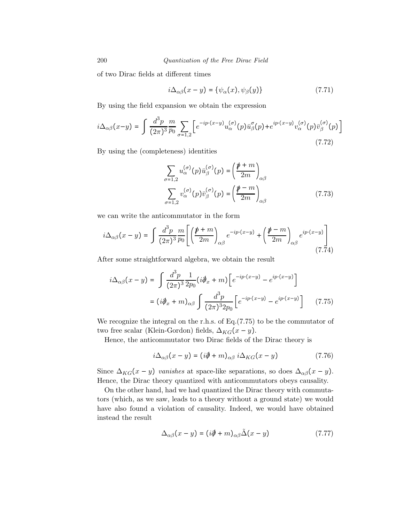of two Dirac fields at different times

$$
i\Delta_{\alpha\beta}(x-y) = \{\psi_{\alpha}(x), \psi_{\beta}(y)\}\tag{7.71}
$$

By using the field expansion we obtain the expression

$$
i\Delta_{\alpha\beta}(x-y) = \int \frac{d^3p}{(2\pi)^3} \frac{m}{p_0} \sum_{\sigma=1,2} \left[ e^{-ip\cdot(x-y)} u_{\alpha}^{(\sigma)}(p) \bar{u}_{\beta}^{\sigma}(p) + e^{ip\cdot(x-y)} v_{\alpha}^{(\sigma)}(p) \bar{v}_{\beta}^{(\sigma)}(p) \right]
$$
(7.72)

By using the (completeness) identities

$$
\sum_{\sigma=1,2} u_{\alpha}^{(\sigma)}(p) \bar{u}_{\beta}^{(\sigma)}(p) = \left(\frac{\rlap{\,/}{p} + m}{2m}\right)_{\alpha\beta}
$$
\n
$$
\sum_{\sigma=1,2} v_{\alpha}^{(\sigma)}(p) \bar{v}_{\beta}^{(\sigma)}(p) = \left(\frac{\rlap{\,/}{p} - m}{2m}\right)_{\alpha\beta} \tag{7.73}
$$

we can write the anticommutator in the form

$$
i\Delta_{\alpha\beta}(x-y) = \int \frac{d^3p}{(2\pi)^3} \frac{m}{p_0} \left[ \left( \frac{\rlap{\,/}{p} + m}{2m} \right)_{\alpha\beta} e^{-ip \cdot (x-y)} + \left( \frac{\rlap{\,/}{p} - m}{2m} \right)_{\alpha\beta} e^{ip \cdot (x-y)} \right] \tag{7.74}
$$

After some straightforward algebra, we obtain the result

$$
i\Delta_{\alpha\beta}(x-y) = \int \frac{d^3p}{(2\pi)^3} \frac{1}{2p_0} (i\partial_x + m) \left[ e^{-ip \cdot (x-y)} - e^{ip \cdot (x-y)} \right]
$$

$$
= (i\partial_x + m)_{\alpha\beta} \int \frac{d^3p}{(2\pi)^3 2p_0} \left[ e^{-ip \cdot (x-y)} - e^{ip \cdot (x-y)} \right] \qquad (7.75)
$$

We recognize the integral on the r.h.s. of  $Eq. (7.75)$  to be the commutator of two free scalar (Klein-Gordon) fields,  $\Delta_{KG}(x - y)$ .

Hence, the anticommutator two Dirac fields of the Dirac theory is

$$
i\Delta_{\alpha\beta}(x-y) = (i\partial\!\!\!/ + m)_{\alpha\beta} i\Delta_{KG}(x-y) \tag{7.76}
$$

Since  $\Delta_{KG}(x-y)$  vanishes at space-like separations, so does  $\Delta_{\alpha\beta}(x-y)$ . Hence, the Dirac theory quantized with anticommutators obeys causality.

On the other hand, had we had quantized the Dirac theory with commutators (which, as we saw, leads to a theory without a ground state) we would have also found a violation of causality. Indeed, we would have obtained instead the result

$$
\Delta_{\alpha\beta}(x-y) = (i\partial\!\!\!/- m)_{\alpha\beta}\tilde{\Delta}(x-y) \tag{7.77}
$$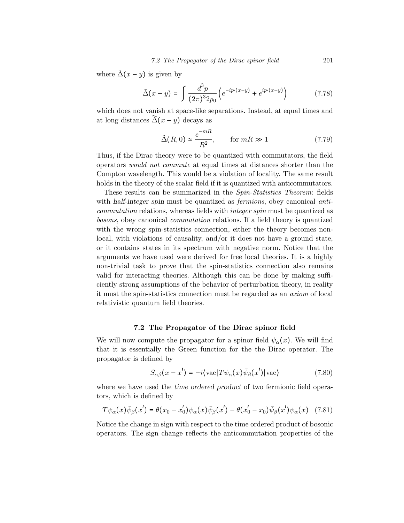where  $\tilde{\Delta}(x - y)$  is given by

$$
\tilde{\Delta}(x - y) = \int \frac{d^3 p}{(2\pi)^3 2p_0} \left( e^{-ip \cdot (x - y)} + e^{ip \cdot (x - y)} \right)
$$
(7.78)

which does not vanish at space-like separations. Instead, at equal times and at long distances  $\widetilde{\Delta}(x-y)$  decays as

$$
\tilde{\Delta}(R,0) \simeq \frac{e^{-mR}}{R^2}, \qquad \text{for } mR \gg 1 \tag{7.79}
$$

Thus, if the Dirac theory were to be quantized with commutators, the field operators would not commute at equal times at distances shorter than the Compton wavelength. This would be a violation of locality. The same result holds in the theory of the scalar field if it is quantized with anticommutators.

These results can be summarized in the Spin-Statistics Theorem: fields with half-integer spin must be quantized as *fermions*, obey canonical anticommutation relations, whereas fields with integer spin must be quantized as bosons, obey canonical commutation relations. If a field theory is quantized with the wrong spin-statistics connection, either the theory becomes nonlocal, with violations of causality, and/or it does not have a ground state, or it contains states in its spectrum with negative norm. Notice that the arguments we have used were derived for free local theories. It is a highly non-trivial task to prove that the spin-statistics connection also remains valid for interacting theories. Although this can be done by making sufficiently strong assumptions of the behavior of perturbation theory, in reality it must the spin-statistics connection must be regarded as an axiom of local relativistic quantum field theories.

#### 7.2 The Propagator of the Dirac spinor field

We will now compute the propagator for a spinor field  $\psi_{\alpha}(x)$ . We will find that it is essentially the Green function for the the Dirac operator. The propagator is defined by

$$
S_{\alpha\beta}(x - x') = -i\langle \text{vac} | T\psi_{\alpha}(x)\bar{\psi}_{\beta}(x') | \text{vac} \rangle \tag{7.80}
$$

where we have used the time ordered product of two fermionic field operators, which is defined by

$$
T\psi_{\alpha}(x)\bar{\psi}_{\beta}(x') = \theta(x_0 - x_0')\psi_{\alpha}(x)\bar{\psi}_{\beta}(x') - \theta(x_0' - x_0)\bar{\psi}_{\beta}(x')\psi_{\alpha}(x) \quad (7.81)
$$

Notice the change in sign with respect to the time ordered product of bosonic operators. The sign change reflects the anticommutation properties of the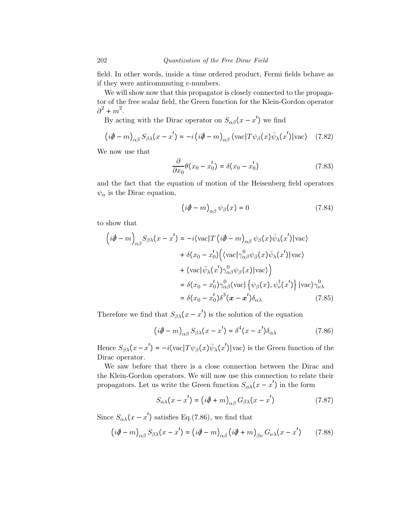field. In other words, inside a time ordered product, Fermi fields behave as if they were anticommuting c-numbers.

We will show now that this propagator is closely connected to the propagator of the free scalar field, the Green function for the Klein-Gordon operator  $\partial^2 + m^2$ .

By acting with the Dirac operator on  $S_{\alpha\beta}(x-x')$  we find

$$
(i\partial - m)_{\alpha\beta} S_{\beta\lambda}(x - x') = -i (i\partial - m)_{\alpha\beta} \langle \text{vac} | T \psi_{\beta}(x) \bar{\psi}_{\lambda}(x') | \text{vac} \rangle \quad (7.82)
$$

We now use that

$$
\frac{\partial}{\partial x_0} \theta(x_0 - x_0') = \delta(x_0 - x_0')
$$
\n(7.83)

and the fact that the equation of motion of the Heisenberg field operators  $\psi_{\alpha}$  is the Dirac equation,

$$
\left(i\partial\!\!\!/ - m\right)_{\alpha\beta}\psi_{\beta}(x) = 0\tag{7.84}
$$

to show that

$$
\left(i\partial\!\!\!/ - m\right)_{\alpha\beta} S_{\beta\lambda}(x - x') = -i \langle \text{vac} | T \left(i\partial\!\!\!/ - m\right)_{\alpha\beta} \psi_{\beta}(x) \bar{\psi}_{\lambda}(x') | \text{vac} \rangle \n+ \delta(x_0 - x'_0) \Big( \langle \text{vac} | \gamma^0_{\alpha\beta} \psi_{\beta}(x) \bar{\psi}_{\lambda}(x') | \text{vac} \rangle \n+ \langle \text{vac} | \bar{\psi}_{\lambda}(x') \gamma^0_{\alpha\beta} \psi_{\beta}(x) | \text{vac} \rangle \Big) \n= \delta(x_0 - x'_0) \gamma^0_{\alpha\beta} \langle \text{vac} | \left\{ \psi_{\beta}(x), \psi_{\nu}^{\dagger}(x') \right\} | \text{vac} \rangle \gamma^0_{\nu\lambda} \n= \delta(x_0 - x'_0) \delta^3(x - x') \delta_{\alpha\lambda}
$$
\n(7.85)

Therefore we find that  $S_{\beta\lambda}(x-x')$  is the solution of the equation

$$
(i\partial \hspace{-.05cm} / -m)_{\alpha\beta} S_{\beta\lambda}(x-x') = \delta^4(x-x')\delta_{\alpha\lambda} \tag{7.86}
$$

Hence  $S_{\beta\lambda}(x-x') = -i\langle \text{vac} | T\psi_{\beta}(x)\bar{\psi}_{\lambda}(x') | \text{vac} \rangle$  is the Green function of the Dirac operator.

We saw before that there is a close connection between the Dirac and the Klein-Gordon operators. We will now use this connection to relate their propagators. Let us write the Green function  $S_{\alpha\lambda}(x-x')$  in the form

$$
S_{\alpha\lambda}(x - x') = (i\partial\!\!\!/ + m)_{\alpha\beta} G_{\beta\lambda}(x - x')
$$
 (7.87)

Since  $S_{\alpha\lambda}(x-x')$  satisfies Eq.(7.86), we find that

$$
(i\partial - m)_{\alpha\beta} S_{\beta\lambda}(x - x') = (i\partial - m)_{\alpha\beta} (i\partial + m)_{\beta\nu} G_{\nu\lambda}(x - x') \qquad (7.88)
$$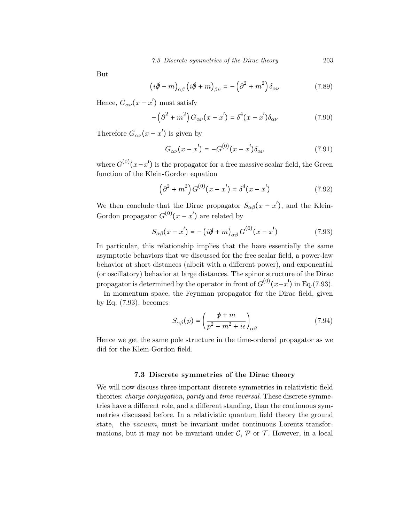But

$$
\left(i\partial\!\!\!/ - m\right)_{\alpha\beta}\left(i\partial\!\!\!/ + m\right)_{\beta\nu} = -\left(\partial^2 + m^2\right)\delta_{\alpha\nu} \tag{7.89}
$$

Hence,  $G_{\alpha\nu}(x-x')$  must satisfy

$$
-\left(\partial^2 + m^2\right)G_{\alpha\nu}(x - x') = \delta^4(x - x')\delta_{\alpha\nu}
$$
\n(7.90)

Therefore  $G_{\alpha\nu}(x-x')$  is given by

$$
G_{\alpha\nu}(x - x') = -G^{(0)}(x - x')\delta_{\alpha\nu}
$$
 (7.91)

where  $G^{(0)}(x-x')$  is the propagator for a free massive scalar field, the Green function of the Klein-Gordon equation

$$
\left(\partial^2 + m^2\right) G^{(0)}(x - x') = \delta^4(x - x')
$$
 (7.92)

We then conclude that the Dirac propagator  $S_{\alpha\beta}(x-x')$ , and the Klein-Gordon propagator  $G^{(0)}(x-x')$  are related by

$$
S_{\alpha\beta}(x - x') = - (i\partial\!\!\!/ + m)_{\alpha\beta} G^{(0)}(x - x')
$$
 (7.93)

In particular, this relationship implies that the have essentially the same asymptotic behaviors that we discussed for the free scalar field, a power-law behavior at short distances (albeit with a different power), and exponential (or oscillatory) behavior at large distances. The spinor structure of the Dirac propagator is determined by the operator in front of  $G^{(0)}(x-x')$  in Eq.(7.93).

In momentum space, the Feynman propagator for the Dirac field, given by Eq. (7.93), becomes

$$
S_{\alpha\beta}(p) = \left(\frac{\rlap{\,/}{p} + m}{p^2 - m^2 + i\epsilon}\right)_{\alpha\beta} \tag{7.94}
$$

Hence we get the same pole structure in the time-ordered propagator as we did for the Klein-Gordon field.

#### 7.3 Discrete symmetries of the Dirac theory

We will now discuss three important discrete symmetries in relativistic field theories: *charge conjugation, parity* and *time reversal*. These discrete symmetries have a different role, and a different standing, than the continuous symmetries discussed before. In a relativistic quantum field theory the ground state, the vacuum, must be invariant under continuous Lorentz transformations, but it may not be invariant under  $\mathcal{C}, \mathcal{P}$  or  $\mathcal{T}$ . However, in a local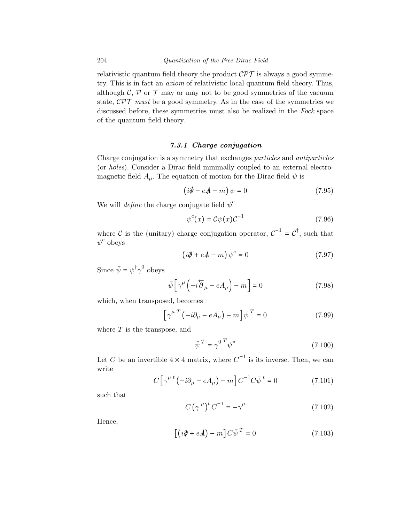relativistic quantum field theory the product  $\mathcal{CPT}$  is always a good symmetry. This is in fact an axiom of relativistic local quantum field theory. Thus, although  $\mathcal{C}, \mathcal{P}$  or  $\mathcal{T}$  may or may not to be good symmetries of the vacuum state,  $\mathcal{CPT}$  must be a good symmetry. As in the case of the symmetries we discussed before, these symmetries must also be realized in the Fock space of the quantum field theory.

# 7.3.1 Charge conjugation

Charge conjugation is a symmetry that exchanges particles and antiparticles (or holes). Consider a Dirac field minimally coupled to an external electromagnetic field  $A_\mu$ . The equation of motion for the Dirac field  $\psi$  is

$$
\left(i\partial\!\!\!/ - e\mathcal{A} - m\right)\psi = 0\tag{7.95}
$$

We will *define* the charge conjugate field  $\psi^c$ 

$$
\psi^{c}(x) = C\psi(x)C^{-1} \tag{7.96}
$$

where C is the (unitary) charge conjugation operator,  $C^{-1} = C^{\dagger}$ , such that  $\psi^c$  obeys

$$
\left(i\partial\!\!\!/ + e\mathcal{A} - m\right)\psi^c = 0\tag{7.97}
$$

Since  $\bar{\psi} = \psi^{\dagger} \gamma^0$  obeys

$$
\bar{\psi}\left[\gamma^{\mu}\left(-i\overleftarrow{\partial}_{\mu}-eA_{\mu}\right)-m\right]=0\tag{7.98}
$$

which, when transposed, becomes

$$
\left[\gamma^{\mu T}\left(-i\partial_{\mu}-eA_{\mu}\right)-m\right]\bar{\psi}^{T}=0
$$
\n(7.99)

where  $T$  is the transpose, and

$$
\bar{\psi}^T = \gamma^0 \, \gamma^*
$$
\n<sup>(7.100)</sup>

Let C be an invertible  $4 \times 4$  matrix, where  $C^{-1}$  is its inverse. Then, we can write

$$
C\left[\gamma^{\mu\ t}\left(-i\partial_{\mu}-eA_{\mu}\right)-m\right]C^{-1}C\bar{\psi}^{\ t}=0\tag{7.101}
$$

such that

$$
C\left(\gamma^{\mu}\right)^{t}C^{-1}=-\gamma^{\mu}\tag{7.102}
$$

Hence,

$$
\left[ \left( i\partial \!\!\!/ + e\mathcal{A} \right) - m \right] C \bar{\psi}^T = 0 \tag{7.103}
$$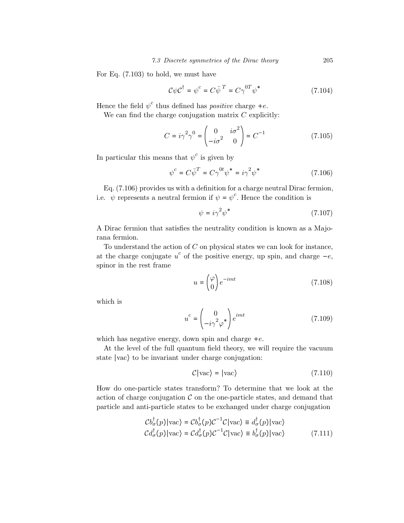For Eq. (7.103) to hold, we must have

$$
C\psi C^{\dagger} = \psi^{c} = C\bar{\psi}^{T} = C\gamma^{0T}\psi^{*}
$$
 (7.104)

Hence the field  $\psi^c$  thus defined has *positive* charge +*e*.

We can find the charge conjugation matrix  $C$  explicitly:

$$
C = i\gamma^2 \gamma^0 = \begin{pmatrix} 0 & i\sigma^2 \\ -i\sigma^2 & 0 \end{pmatrix} = C^{-1}
$$
 (7.105)

In particular this means that  $\psi^c$  is given by

$$
\psi^c = C\overline{\psi}^T = C\gamma^{0t}\psi^* = i\gamma^2\psi^*
$$
\n(7.106)

Eq. (7.106) provides us with a definition for a charge neutral Dirac fermion, i.e.  $\psi$  represents a neutral fermion if  $\psi = \psi^c$ . Hence the condition is

$$
\psi = i\gamma^2 \psi^* \tag{7.107}
$$

A Dirac fermion that satisfies the neutrality condition is known as a Majorana fermion.

To understand the action of  $C$  on physical states we can look for instance, at the charge conjugate  $u^c$  of the positive energy, up spin, and charge  $-e$ , spinor in the rest frame

$$
u = \begin{pmatrix} \varphi \\ 0 \end{pmatrix} e^{-imt} \tag{7.108}
$$

which is

$$
u^{c} = \begin{pmatrix} 0\\ -i\gamma^{2}\varphi^{*} \end{pmatrix} e^{imt}
$$
 (7.109)

which has negative energy, down spin and charge  $+e$ .

At the level of the full quantum field theory, we will require the vacuum state ∣vac⟩ to be invariant under charge conjugation:

$$
C|\text{vac}\rangle = |\text{vac}\rangle \tag{7.110}
$$

How do one-particle states transform? To determine that we look at the action of charge conjugation  $\mathcal C$  on the one-particle states, and demand that particle and anti-particle states to be exchanged under charge conjugation

$$
\mathcal{C}b_{\sigma}^{\dagger}(p)|\text{vac}\rangle = \mathcal{C}b_{\sigma}^{\dagger}(p)\mathcal{C}^{-1}\mathcal{C}|\text{vac}\rangle \equiv d_{\sigma}^{\dagger}(p)|\text{vac}\rangle
$$
  

$$
\mathcal{C}d_{\sigma}^{\dagger}(p)|\text{vac}\rangle = \mathcal{C}d_{\sigma}^{\dagger}(p)\mathcal{C}^{-1}\mathcal{C}|\text{vac}\rangle \equiv b_{\sigma}^{\dagger}(p)|\text{vac}\rangle \qquad (7.111)
$$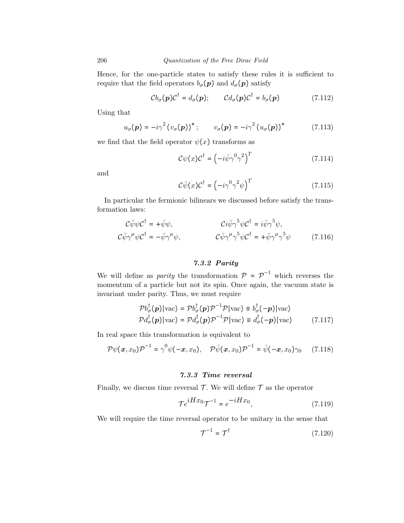Hence, for the one-particle states to satisfy these rules it is sufficient to require that the field operators  $b_{\sigma}(\boldsymbol{p})$  and  $d_{\sigma}(\boldsymbol{p})$  satisfy

$$
Cb_{\sigma}(\boldsymbol{p})C^{\dagger} = d_{\sigma}(\boldsymbol{p}); \qquad Cd_{\sigma}(\boldsymbol{p})C^{\dagger} = b_{\sigma}(\boldsymbol{p}) \qquad (7.112)
$$

Using that

$$
u_{\sigma}(\boldsymbol{p}) = -i\gamma^{2} \left( v_{\sigma}(\boldsymbol{p}) \right)^{*}; \qquad v_{\sigma}(\boldsymbol{p}) = -i\gamma^{2} \left( u_{\sigma}(\boldsymbol{p}) \right)^{*} \qquad (7.113)
$$

we find that the field operator  $\psi(x)$  transforms as

$$
\mathcal{C}\psi(x)\mathcal{C}^{\dagger} = \left(-i\bar{\psi}\gamma^{0}\gamma^{2}\right)^{T}
$$
\n(7.114)

and

$$
\mathcal{C}\bar{\psi}(x)\mathcal{C}^{\dagger} = \left(-i\gamma^0\gamma^2\psi\right)^T\tag{7.115}
$$

In particular the fermionic bilinears we discussed before satisfy the transformation laws:

$$
C\bar{\psi}\psi C^{\dagger} = +\bar{\psi}\psi, \qquad Ci\bar{\psi}\gamma^{5}\psi C^{\dagger} = i\bar{\psi}\gamma^{5}\psi, C\bar{\psi}\gamma^{\mu}\psi C^{\dagger} = -\bar{\psi}\gamma^{\mu}\psi, \qquad C\bar{\psi}\gamma^{\mu}\gamma^{5}\psi C^{\dagger} = +\bar{\psi}\gamma^{\mu}\gamma^{5}\psi \qquad (7.116)
$$

# 7.3.2 Parity

We will define as *parity* the transformation  $\mathcal{P} = \mathcal{P}^{-1}$  which reverses the momentum of a particle but not its spin. Once again, the vacuum state is invariant under parity. Thus, we must require

$$
\mathcal{P}b_{\sigma}^{\dagger}(\boldsymbol{p})|\text{vac}\rangle = \mathcal{P}b_{\sigma}^{\dagger}(\boldsymbol{p})\mathcal{P}^{-1}\mathcal{P}|\text{vac}\rangle \equiv b_{\sigma}^{\dagger}(-\boldsymbol{p})|\text{vac}\rangle
$$
  

$$
\mathcal{P}d_{\sigma}^{\dagger}(\boldsymbol{p})|\text{vac}\rangle = \mathcal{P}d_{\sigma}^{\dagger}(\boldsymbol{p})\mathcal{P}^{-1}\mathcal{P}|\text{vac}\rangle \equiv d_{\sigma}^{\dagger}(-\boldsymbol{p})|\text{vac}\rangle \qquad (7.117)
$$

In real space this transformation is equivalent to

$$
\mathcal{P}\psi(\boldsymbol{x},x_0)\mathcal{P}^{-1}=\gamma^0\psi(-\boldsymbol{x},x_0),\quad \mathcal{P}\bar{\psi}(\boldsymbol{x},x_0)\mathcal{P}^{-1}=\bar{\psi}(-\boldsymbol{x},x_0)\gamma_0\qquad(7.118)
$$

#### 7.3.3 Time reversal

Finally, we discuss time reversal  $\mathcal T$ . We will define  $\mathcal T$  as the operator

$$
\mathcal{T}e^{iHx_0}\mathcal{T}^{-1} = e^{-iHx_0},\tag{7.119}
$$

We will require the time reversal operator to be unitary in the sense that

$$
\mathcal{T}^{-1} = \mathcal{T}^{\dagger} \tag{7.120}
$$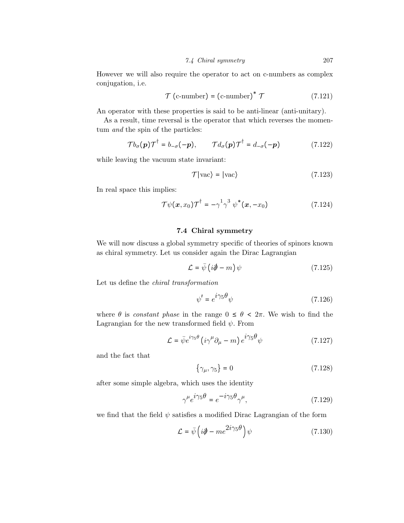However we will also require the operator to act on c-numbers as complex conjugation, i.e.

$$
\mathcal{T} \text{ (c-number)} = \text{(c-number)}^* \mathcal{T} \tag{7.121}
$$

An operator with these properties is said to be anti-linear (anti-unitary).

As a result, time reversal is the operator that which reverses the momentum *and* the spin of the particles:

$$
\mathcal{T}b_{\sigma}(\mathbf{p})\mathcal{T}^{\dagger} = b_{-\sigma}(-\mathbf{p}), \qquad \mathcal{T}d_{\sigma}(\mathbf{p})\mathcal{T}^{\dagger} = d_{-\sigma}(-\mathbf{p}) \tag{7.122}
$$

while leaving the vacuum state invariant:

$$
\mathcal{T}|\text{vac}\rangle = |\text{vac}\rangle \tag{7.123}
$$

In real space this implies:

$$
\mathcal{T}\psi(\boldsymbol{x},x_0)\mathcal{T}^{\dagger}=-\gamma^1\gamma^3\ \psi^*(\boldsymbol{x},-x_0) \qquad (7.124)
$$

## 7.4 Chiral symmetry

We will now discuss a global symmetry specific of theories of spinors known as chiral symmetry. Let us consider again the Dirac Lagrangian

$$
\mathcal{L} = \bar{\psi} \left( i \partial \!\!\!/ - m \right) \psi \tag{7.125}
$$

Let us define the chiral transformation

$$
\psi' = e^{i\gamma_5 \theta} \psi \tag{7.126}
$$

where  $\theta$  is *constant phase* in the range  $0 \le \theta \le 2\pi$ . We wish to find the Lagrangian for the new transformed field  $\psi$ . From

$$
\mathcal{L} = \bar{\psi} e^{i\gamma_5 \theta} \left( i\gamma^{\mu} \partial_{\mu} - m \right) e^{i\gamma_5 \theta} \psi \tag{7.127}
$$

and the fact that

$$
\{\gamma_{\mu}, \gamma_5\} = 0\tag{7.128}
$$

after some simple algebra, which uses the identity

$$
\gamma^{\mu} e^{i\gamma_5 \theta} = e^{-i\gamma_5 \theta} \gamma^{\mu}, \qquad (7.129)
$$

we find that the field  $\psi$  satisfies a modified Dirac Lagrangian of the form

$$
\mathcal{L} = \bar{\psi} \left( i\partial \!\!\!/ - m e^{2i\gamma_5 \theta} \right) \psi \tag{7.130}
$$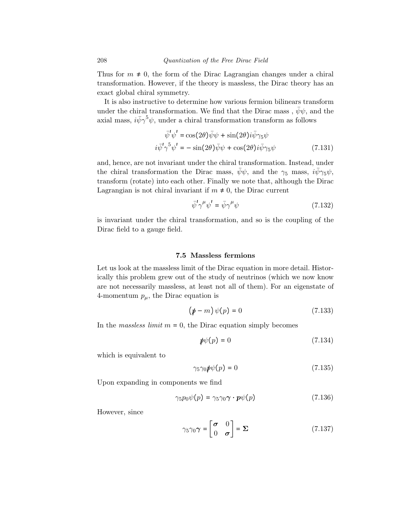Thus for  $m \neq 0$ , the form of the Dirac Lagrangian changes under a chiral transformation. However, if the theory is massless, the Dirac theory has an exact global chiral symmetry.

It is also instructive to determine how various fermion bilinears transform under the chiral transformation. We find that the Dirac mass,  $\bar{\psi}\psi$ , and the axial mass,  $i\bar{\psi}\gamma^5\psi$ , under a chiral transformation transform as follows

$$
\bar{\psi}'\psi' = \cos(2\theta)\bar{\psi}\psi + \sin(2\theta)i\bar{\psi}\gamma_5\psi
$$
  

$$
i\bar{\psi}'\gamma^5\psi' = -\sin(2\theta)\bar{\psi}\psi + \cos(2\theta)i\bar{\psi}\gamma_5\psi
$$
 (7.131)

and, hence, are not invariant under the chiral transformation. Instead, under the chiral transformation the Dirac mass,  $\bar{\psi}\psi$ , and the  $\gamma_5$  mass,  $i\bar{\psi}\gamma_5\psi$ , transform (rotate) into each other. Finally we note that, although the Dirac Lagrangian is not chiral invariant if  $m \neq 0$ , the Dirac current

$$
\bar{\psi}'\gamma^{\mu}\psi' = \bar{\psi}\gamma^{\mu}\psi\tag{7.132}
$$

is invariant under the chiral transformation, and so is the coupling of the Dirac field to a gauge field.

### 7.5 Massless fermions

Let us look at the massless limit of the Dirac equation in more detail. Historically this problem grew out of the study of neutrinos (which we now know are not necessarily massless, at least not all of them). For an eigenstate of 4-momentum  $p_{\mu}$ , the Dirac equation is

$$
(\rlap{\hspace{0.02cm}/}{p-m})\psi(p) = 0 \tag{7.133}
$$

In the *massless limit*  $m = 0$ , the Dirac equation simply becomes

$$
p\psi(p) = 0 \tag{7.134}
$$

which is equivalent to

$$
\gamma_5 \gamma_0 \rlap{\,/}p \psi(p) = 0 \tag{7.135}
$$

Upon expanding in components we find

$$
\gamma_5 p_0 \psi(p) = \gamma_5 \gamma_0 \gamma \cdot p \psi(p) \tag{7.136}
$$

However, since

$$
\gamma_5 \gamma_0 \gamma = \begin{bmatrix} \sigma & 0 \\ 0 & \sigma \end{bmatrix} = \Sigma
$$
 (7.137)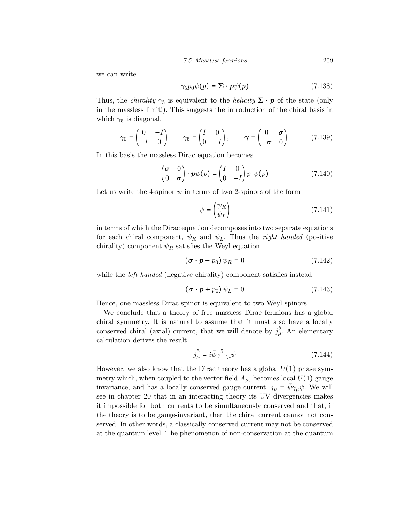7.5 Massless fermions 209

we can write

$$
\gamma_5 p_0 \psi(p) = \Sigma \cdot p \psi(p) \tag{7.138}
$$

Thus, the *chirality*  $\gamma_5$  is equivalent to the *helicity*  $\Sigma \cdot p$  of the state (only in the massless limit!). This suggests the introduction of the chiral basis in which  $\gamma_5$  is diagonal,

$$
\gamma_0 = \begin{pmatrix} 0 & -I \\ -I & 0 \end{pmatrix} \qquad \gamma_5 = \begin{pmatrix} I & 0 \\ 0 & -I \end{pmatrix}, \qquad \gamma = \begin{pmatrix} 0 & \sigma \\ -\sigma & 0 \end{pmatrix} \tag{7.139}
$$

In this basis the massless Dirac equation becomes

$$
\begin{pmatrix} \sigma & 0 \\ 0 & \sigma \end{pmatrix} \cdot \boldsymbol{p} \psi(p) = \begin{pmatrix} I & 0 \\ 0 & -I \end{pmatrix} p_0 \psi(p) \tag{7.140}
$$

Let us write the 4-spinor  $\psi$  in terms of two 2-spinors of the form

$$
\psi = \begin{pmatrix} \psi_R \\ \psi_L \end{pmatrix} \tag{7.141}
$$

in terms of which the Dirac equation decomposes into two separate equations for each chiral component,  $\psi_R$  and  $\psi_L$ . Thus the *right handed* (positive chirality) component  $\psi_R$  satisfies the Weyl equation

$$
(\boldsymbol{\sigma} \cdot \boldsymbol{p} - p_0) \psi_R = 0 \tag{7.142}
$$

while the *left handed* (negative chirality) component satisfies instead

$$
(\boldsymbol{\sigma} \cdot \boldsymbol{p} + p_0) \psi_L = 0 \tag{7.143}
$$

Hence, one massless Dirac spinor is equivalent to two Weyl spinors.

We conclude that a theory of free massless Dirac fermions has a global chiral symmetry. It is natural to assume that it must also have a locally conserved chiral (axial) current, that we will denote by  $j_{\mu}^{5}$ . An elementary calculation derives the result

$$
j_{\mu}^{5} = i\bar{\psi}\gamma^{5}\gamma_{\mu}\psi\tag{7.144}
$$

However, we also know that the Dirac theory has a global  $U(1)$  phase symmetry which, when coupled to the vector field  $A_\mu$ , becomes local  $U(1)$  gauge invariance, and has a locally conserved gauge current,  $j_{\mu} = \psi \gamma_{\mu} \psi$ . We will see in chapter 20 that in an interacting theory its UV divergencies makes it impossible for both currents to be simultaneously conserved and that, if the theory is to be gauge-invariant, then the chiral current cannot not conserved. In other words, a classically conserved current may not be conserved at the quantum level. The phenomenon of non-conservation at the quantum